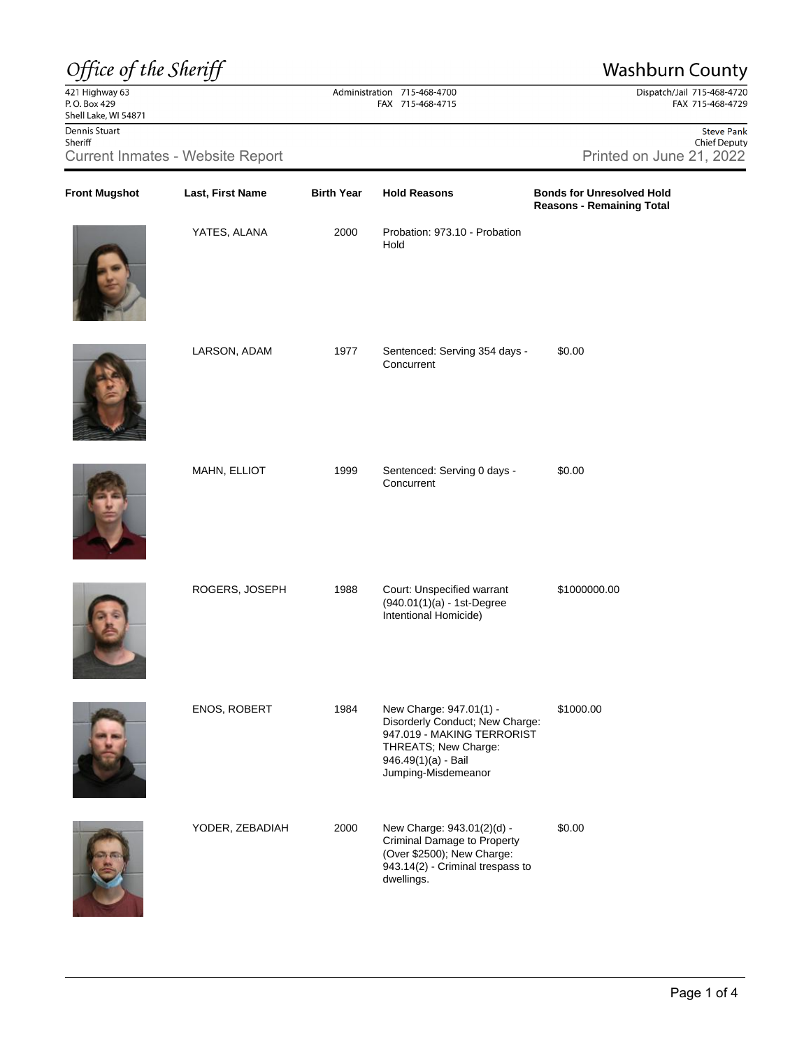## Office of the Sheriff

 $\frac{22}{421}$  Highway 63<br>P.O. Box 429 Shell Lake, WI 54871 Dennis Stuart Sheriff

## Administration 715-468-4700 FAX 715-468-4715

**Front Mugshot Last, First Name Birth Year Hold Reasons Bonds for Unresolved Hold**

**Washburn County** Dispatch/Jail 715-468-4720<br>FAX 715-468-4729

Steve Pank Chief Deputy Current Inmates - Website Report **Printed on June 21, 2022** 

**Reasons - Remaining Total**









| YATES, ALANA    | 2000 | Probation: 973.10 - Probation<br>Hold                                                                                                                          |              |
|-----------------|------|----------------------------------------------------------------------------------------------------------------------------------------------------------------|--------------|
| LARSON, ADAM    | 1977 | Sentenced: Serving 354 days -<br>Concurrent                                                                                                                    | \$0.00       |
| MAHN, ELLIOT    | 1999 | Sentenced: Serving 0 days -<br>Concurrent                                                                                                                      | \$0.00       |
| ROGERS, JOSEPH  | 1988 | Court: Unspecified warrant<br>(940.01(1)(a) - 1st-Degree<br>Intentional Homicide)                                                                              | \$1000000.00 |
| ENOS, ROBERT    | 1984 | New Charge: 947.01(1) -<br>Disorderly Conduct; New Charge:<br>947.019 - MAKING TERRORIST<br>THREATS; New Charge:<br>946.49(1)(a) - Bail<br>Jumping-Misdemeanor | \$1000.00    |
| YODER, ZEBADIAH | 2000 | New Charge: 943.01(2)(d) -<br>Criminal Damage to Property<br>(Over \$2500); New Charge:<br>943.14(2) - Criminal trespass to<br>dwellings.                      | \$0.00       |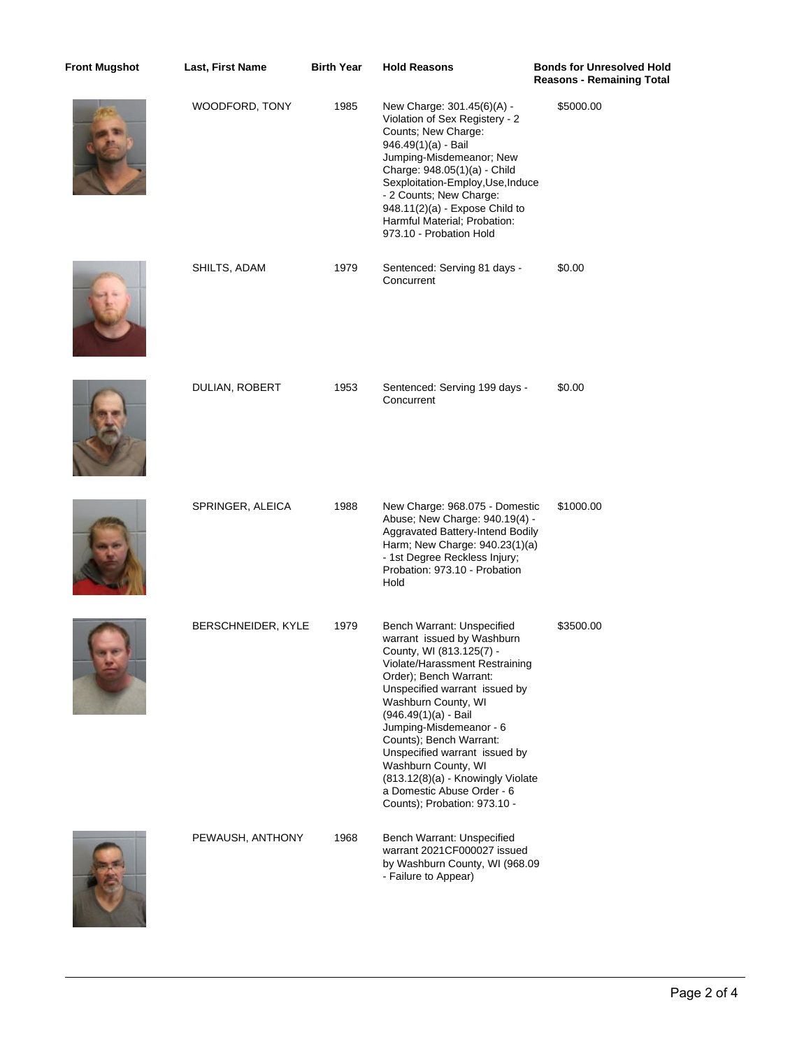| <b>Front Mugshot</b> | Last, First Name   | <b>Birth Year</b> | <b>Hold Reasons</b>                                                                                                                                                                                                                                                                                                                                                                                                                                 | <b>Bonds for Unresolved Hold</b><br><b>Reasons - Remaining Total</b> |
|----------------------|--------------------|-------------------|-----------------------------------------------------------------------------------------------------------------------------------------------------------------------------------------------------------------------------------------------------------------------------------------------------------------------------------------------------------------------------------------------------------------------------------------------------|----------------------------------------------------------------------|
|                      | WOODFORD, TONY     | 1985              | New Charge: 301.45(6)(A) -<br>Violation of Sex Registery - 2<br>Counts; New Charge:<br>946.49(1)(a) - Bail<br>Jumping-Misdemeanor; New<br>Charge: 948.05(1)(a) - Child<br>Sexploitation-Employ, Use, Induce<br>- 2 Counts; New Charge:<br>948.11(2)(a) - Expose Child to<br>Harmful Material; Probation:<br>973.10 - Probation Hold                                                                                                                 | \$5000.00                                                            |
|                      | SHILTS, ADAM       | 1979              | Sentenced: Serving 81 days -<br>Concurrent                                                                                                                                                                                                                                                                                                                                                                                                          | \$0.00                                                               |
|                      | DULIAN, ROBERT     | 1953              | Sentenced: Serving 199 days -<br>Concurrent                                                                                                                                                                                                                                                                                                                                                                                                         | \$0.00                                                               |
|                      | SPRINGER, ALEICA   | 1988              | New Charge: 968.075 - Domestic<br>Abuse; New Charge: 940.19(4) -<br>Aggravated Battery-Intend Bodily<br>Harm; New Charge: 940.23(1)(a)<br>- 1st Degree Reckless Injury;<br>Probation: 973.10 - Probation<br>Hold                                                                                                                                                                                                                                    | \$1000.00                                                            |
|                      | BERSCHNEIDER, KYLE | 1979              | Bench Warrant: Unspecified<br>warrant issued by Washburn<br>County, WI (813.125(7) -<br>Violate/Harassment Restraining<br>Order); Bench Warrant:<br>Unspecified warrant issued by<br>Washburn County, WI<br>$(946.49(1)(a) -$ Bail<br>Jumping-Misdemeanor - 6<br>Counts); Bench Warrant:<br>Unspecified warrant issued by<br>Washburn County, WI<br>(813.12(8)(a) - Knowingly Violate<br>a Domestic Abuse Order - 6<br>Counts); Probation: 973.10 - | \$3500.00                                                            |
|                      | PEWAUSH, ANTHONY   | 1968              | Bench Warrant: Unspecified<br>warrant 2021CF000027 issued<br>by Washburn County, WI (968.09<br>- Failure to Appear)                                                                                                                                                                                                                                                                                                                                 |                                                                      |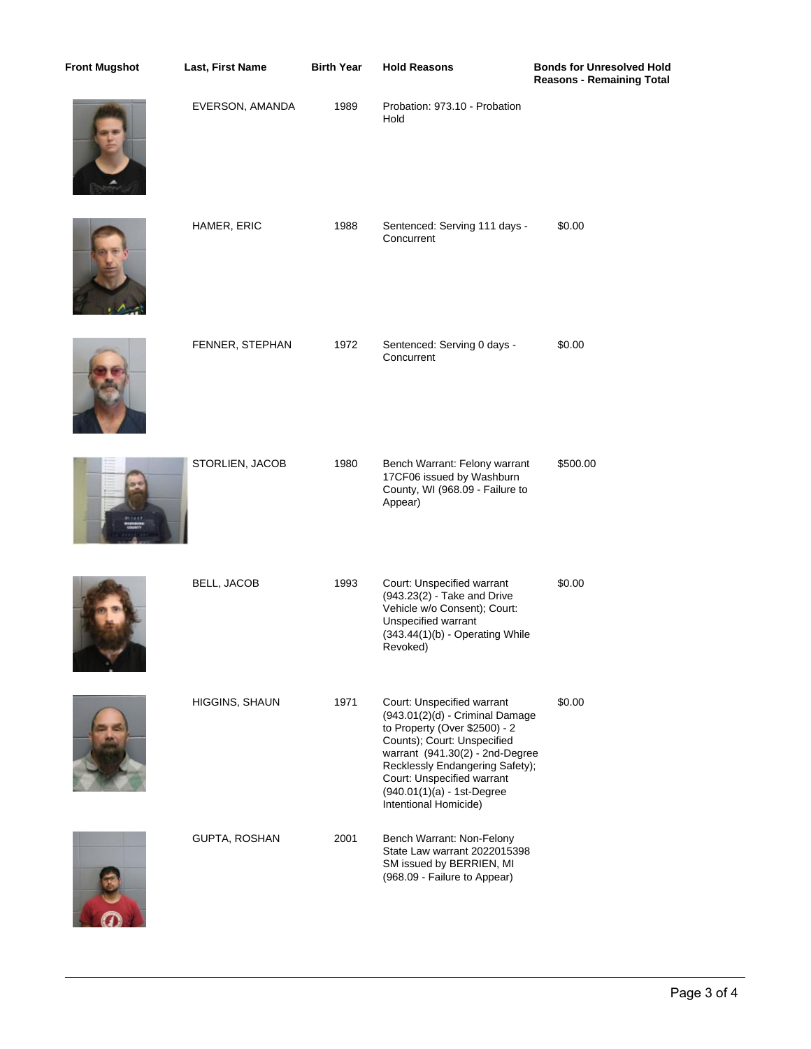| <b>Front Mugshot</b> | Last, First Name      | <b>Birth Year</b> | <b>Hold Reasons</b>                                                                                                                                                                                                                                                                      | <b>Bonds for Unresolved Hold</b><br><b>Reasons - Remaining Total</b> |
|----------------------|-----------------------|-------------------|------------------------------------------------------------------------------------------------------------------------------------------------------------------------------------------------------------------------------------------------------------------------------------------|----------------------------------------------------------------------|
|                      | EVERSON, AMANDA       | 1989              | Probation: 973.10 - Probation<br>Hold                                                                                                                                                                                                                                                    |                                                                      |
|                      | HAMER, ERIC           | 1988              | Sentenced: Serving 111 days -<br>Concurrent                                                                                                                                                                                                                                              | \$0.00                                                               |
|                      | FENNER, STEPHAN       | 1972              | Sentenced: Serving 0 days -<br>Concurrent                                                                                                                                                                                                                                                | \$0.00                                                               |
|                      | STORLIEN, JACOB       | 1980              | Bench Warrant: Felony warrant<br>17CF06 issued by Washburn<br>County, WI (968.09 - Failure to<br>Appear)                                                                                                                                                                                 | \$500.00                                                             |
|                      | <b>BELL, JACOB</b>    | 1993              | Court: Unspecified warrant<br>(943.23(2) - Take and Drive<br>Vehicle w/o Consent); Court:<br>Unspecified warrant<br>(343.44(1)(b) - Operating While<br>Revoked)                                                                                                                          | \$0.00                                                               |
|                      | <b>HIGGINS, SHAUN</b> | 1971              | Court: Unspecified warrant<br>(943.01(2)(d) - Criminal Damage<br>to Property (Over \$2500) - 2<br>Counts); Court: Unspecified<br>warrant (941.30(2) - 2nd-Degree<br>Recklessly Endangering Safety);<br>Court: Unspecified warrant<br>(940.01(1)(a) - 1st-Degree<br>Intentional Homicide) | \$0.00                                                               |
|                      | GUPTA, ROSHAN         | 2001              | Bench Warrant: Non-Felony<br>State Law warrant 2022015398<br>SM issued by BERRIEN, MI<br>(968.09 - Failure to Appear)                                                                                                                                                                    |                                                                      |